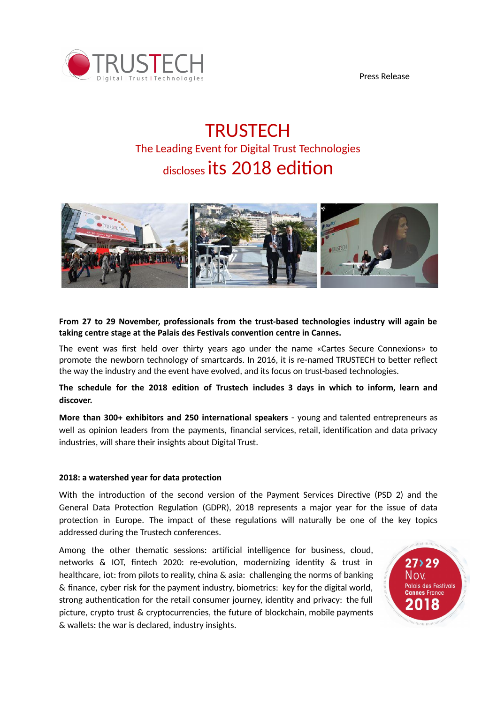



# **TRUSTECH** The Leading Event for Digital Trust Technologies  $_{\text{discloses}}$  its 2018 edition



## **From 27 to 29 November, professionals from the trust-based technologies industry will again be taking centre stage at the Palais des Festivals convention centre in Cannes.**

The event was first held over thirty years ago under the name «Cartes Secure Connexions» to promote the newborn technology of smartcards. In 2016, it is re-named TRUSTECH to better reflect the way the industry and the event have evolved, and its focus on trust-based technologies.

**The schedule for the 2018 edition of Trustech includes 3 days in which to inform, learn and discover.**

**More than 300+ exhibitors and 250 international speakers** - young and talented entrepreneurs as well as opinion leaders from the payments, financial services, retail, identification and data privacy industries, will share their insights about Digital Trust.

### **2018: a watershed year for data protection**

With the introduction of the second version of the Payment Services Directive (PSD 2) and the General Data Protection Regulation (GDPR), 2018 represents a major year for the issue of data protection in Europe. The impact of these regulations will naturally be one of the key topics addressed during the Trustech conferences.

Among the other thematic sessions: artificial intelligence for business, cloud, networks  $\&$  IOT, fintech 2020: re-evolution, modernizing identity  $\&$  trust in healthcare, iot: from pilots to reality, china & asia: challenging the norms of banking & finance, cyber risk for the payment industry, biometrics: key for the digital world, strong authentication for the retail consumer journey, identity and privacy: the full picture, crypto trust & cryptocurrencies, the future of blockchain, mobile payments & wallets: the war is declared, industry insights.

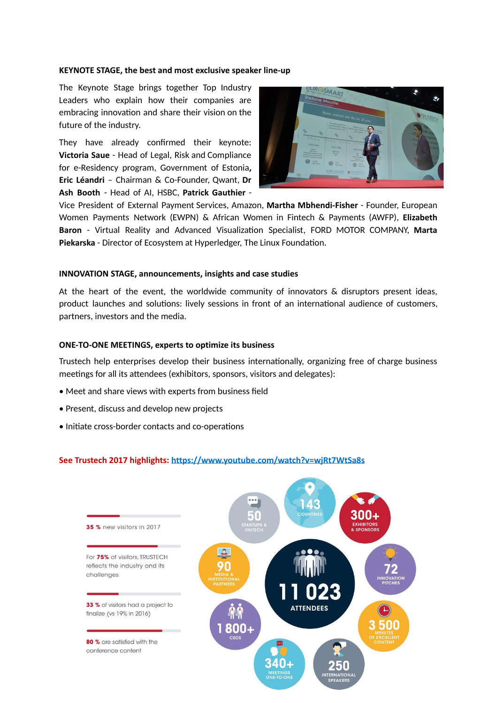#### **KEYNOTE STAGE, the best and most exclusive speaker line-up**

The Keynote Stage brings together Top Industry Leaders who explain how their companies are embracing innovation and share their vision on the future of the industry.

They have already confirmed their keynote: **Victoria Saue** - Head of Legal, Risk and Compliance for e-Residency program, Government of Estonia**, Eric Léandri** – Chairman & Co-Founder, Qwant, **Dr Ash Booth** - Head of AI, HSBC, **Patrick Gauthier** -



Vice President of External Payment Services, Amazon, **Martha Mbhendi-Fisher** - Founder, European Women Payments Network (EWPN) & African Women in Fintech & Payments (AWFP), **Elizabeth** Baron - Virtual Reality and Advanced Visualization Specialist, FORD MOTOR COMPANY, Marta **Piekarska** - Director of Ecosystem at Hyperledger, The Linux Foundation.

#### **INNOVATION STAGE, announcements, insights and case studies**

At the heart of the event, the worldwide community of innovators & disruptors present ideas, product launches and solutions: lively sessions in front of an international audience of customers, partners, investors and the media.

#### **ONE-TO-ONE MEETINGS, experts to optimize its business**

Trustech help enterprises develop their business internationally, organizing free of charge business meetings for all its attendees (exhibitors, sponsors, visitors and delegates):

- Meet and share views with experts from business field
- Present, discuss and develop new projects
- Initiate cross-border contacts and co-operations

#### **See Trustech 2017 highlights: <https://www.youtube.com/watch?v=wjRt7WtSa8s>**